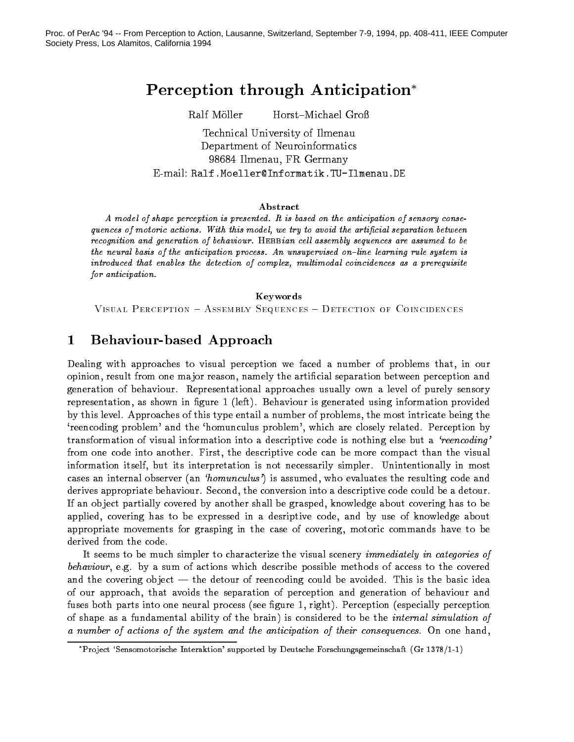# Perception through Anticipation

Ralf Möller Horst-Michael Groß

Technical University of Ilmenau Department of Neuroinformatics 98684 Ilmenau, FR Germany E mail Ralf-MoellerInformatik-TUIlmenau-DE

#### Abstract

a model of shape perception is presented-distinction in the anticipation of sensory conse quences of motoric actions- With this model we try to avoid the articial separation between recognition and generation of behaviour-dependent cell assembly sequences are assumed to be the neural basis of the anticipation process- An unsupervised online learning rule system is introduced that enables the detection of complex, multimodal coincidences as a prerequisite for anticipation.

#### Keywords

Visual Perception - Assembly Sequences - Detection of Coincidences

#### Behaviour-based Approach

Dealing with approaches to visual perception we faced a number of problems that- in our opinion-term one man jor result from one man jor reason-term articial separation between perception and the articial separation and the articles of the articles of the articles of the articles of the articles of the articl generation of behaviour. Representational approaches usually own a level of purely sensory representation-behaviour in gure is generated using information-behaviour is generated using information provi by this level Approaches of this type entail a number of problems- the most intricate being the recent many problems and the dismission problems ( ) and are closely related Perception by transformation of visual information into a descriptive code is nothing else but a *reencoding* from one code into another First- the descriptive code can be more compact than the visual information its interpretation interpretation is not necessarily simplers. Windows in most cases in most cases cases an internal observer (an homewoodle assumed- is assumed, who evaluates the resulting code and derives appropriate behaviour Second- the conversion into a descriptive code could be a detour If an ob ject partially covered by another shall be grasped- knowledge about covering has to be rppied- covering in a description in a design code- code-  $\alpha$  and  $\alpha$  and  $\alpha$  and  $\alpha$ appropriate movements for grasping in the case of covering- motoric commands have to be derived from the code

It seems to be much simpler to characterize the visual scenery immediately in categories of behaviour, chat wi w sum of weilende methods westerde possible methods of weedes to the covered the and the covering object the detour of reencoding count avoided This is the basic ideas of  $\alpha$ of our approach- that avoids the separation of perception and generation of behaviour and fuses both parts into one neural process see gure - right Perception especially perception of shape as a fundamental ability of the brain) is considered to be the *internal simulation of* a number of actions of the system and the anticipation of their consequences. On one hand,

Project Sensomotorische Interaktion supported by Deutsche Forschungsgemeinschaft (Gr 1378/1-1)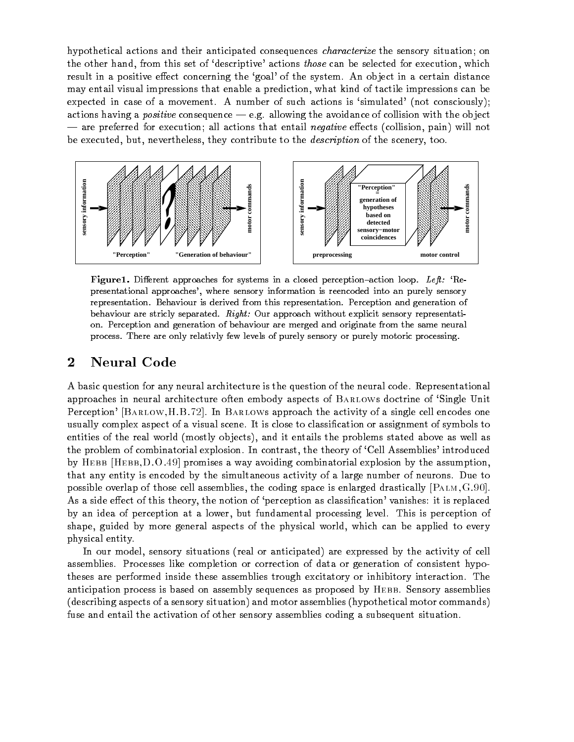hypothetical actions and their anticipated consequences *characterize* the sensory situation; on the client handed, it and this set of actions for a well-clip process can be selected for execution, which it result in a positive effect concerning the 'goal' of the system. An object in a certain distance may entail visual impressions that enable a prediction- what kind of tactile impressions can be expected in case of a movement. A number of such actions is 'simulated' (not consciously);  $\alpha$  of  $\alpha$  in the avoidance consequence of  $\alpha$ , who with  $\alpha$  is a collision with the object of  $\alpha$ are preferred for extendition; an well-show that entail negative entered (collision; pain; "in het be executed-on- was the contributed-on- the scenery-description of the scenery- tool to the scenery-



Figure- Di-erent approaches for systems in a closed perceptionaction loop Left Re presentational approaches where sensory information is reencoded into an purely sensory representation. Behaviour is derived from this representation. Perception and generation of behaviour are stricly separated. Right: Our approach without explicit sensory representation Perception and generation of behaviour are merged and originate from the same neural process There are only relativly few levels of purely sensory or purely motoric processing

## 2 Neural Code

A basic question for any neural architecture is the question of the neural code. Representational approaches in neural architecture often embody aspects of Barlows doctrine of Single Unit Perception' [BARLOW, H.B.72]. In BARLOWs approach the activity of a single cell encodes one usually complex aspect of a visual scene. It is close to classification or assignment of symbols to entities of the real world mostly ob jects- and it entails the problems stated above as well as the problem of combinatorial explosion in contrast, the theory of Cell Assembly contrast introduced by HEBB  $[HEBB, D.O.49]$  promises a way avoiding combinatorial explosion by the assumption, that any entity is encoded by the simultaneous activity of a large number of neurons. Due to possible overlap is the coding distinguished through space is ending to measurement palmers and the As a single extended of this this this theory-beam contonion of perception as classication as classication of perception  $\mathbb{R}$ by an idea of perception at a lower- but fundamental processing level This is perception of shape, general aspects general aspects of the physical world-the and as applied to every physical entity

In our model- sensory situations real or anticipated are expressed by the activity of cell assemblies. Processes like completion or correction of data or generation of consistent hypotheses are performed inside these assemblies trough excitatory or inhibitory interaction. The anticipation process is based on assembly sequences as proposed by HEBB. Sensory assemblies (describing aspects of a sensory situation) and motor assemblies (hypothetical motor commands) fuse and entail the activation of other sensory assemblies coding a subsequent situation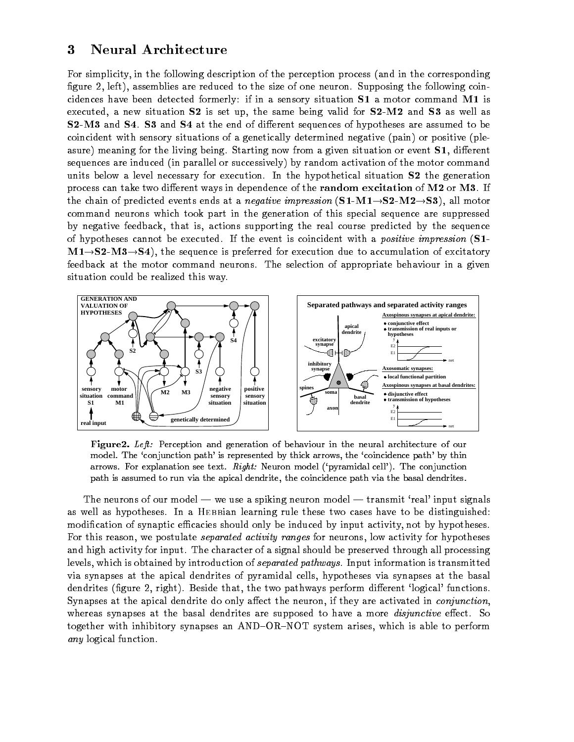#### $\bf{3}$ Neural Architecture

For simplicity- in the following description of the perception process and in the corresponding gure - left- assemblies are reduced to the size of one neuron Supposing the following coin cidence and a cide formerly if in a sensory situation S-C a motor community situation  $\mathcal{L}$ executed-in situation situation situation same being valid for SM and S as well as well as  $S2-M3$  and  $S4$ . S3 and  $S4$  at the end of different sequences of hypotheses are assumed to be coincident with sensory situations of a genetically determined negative  $(pain)$  or positive  $(plet)$ asure meaning for the userg starting starting users situation and contains situation or event S- ( and startin sequences are induced (in parallel or successively) by random activation of the motor command units below a level necessary for execution. In the hypothetical situation  $S2$  the generation process can take two different ways in dependence of the random excitation of  $M2$  or  $M3$ . If the chain of predicted events ends at a *negative impression* (ST-NII-S2-NII-SO), an motor command neurons which took part in the generation of this special sequence are suppressed . The real course that is actions supporting the real course predicted by the sequence of hypotheses cannot be executed. If the event is coincident with a *positive impression* (ST-M-SMS- the sequence is preferred for execution due to accumulation of excitatory feedback at the motor command neurons. The selection of appropriate behaviour in a given situation could be realized this way



Figure 2. Left: Perception and generation of behaviour in the neural architecture of our model. The 'conjunction path' is represented by thick arrows, the 'coincidence path' by thin arrows For explanation see text Right Neuron model pyramidal cell The conjunction path is assumed to run via the apical dendrite, the coincidence path via the basal dendrites.

The neurons of our model we use a spiking neuron model transmit real input signals as well as hypotheses. In a HEBBian learning rule these two cases have to be distinguished: modication of synaptic ecacies showledge that the international by input activity-part of the constant ror this reason, we postulate *separated activity ranges* for heurons, fow activity for hypotheses and high activity for input. The character of a signal should be preserved through all processing  ${\bf r}$ erels, which is obtained by introduction or *separated pathways.* Input information is transmitted via synapses at the apical dendrites of pyramidal cells- hypotheses via synapses at the basal  $\mathcal{A}$  is a right Beside two pathways performance of two pathways performance  $\mathcal{A}$  $S$  independent into apical denomine do only antest the neuron-integral are active and in conjunctionwhereas synapses at the basal dendrites are supposed to have a more *disjunctive* effect. So together with inhibitory synapses an ANDORNOT system arises- which is able to perform any logical function